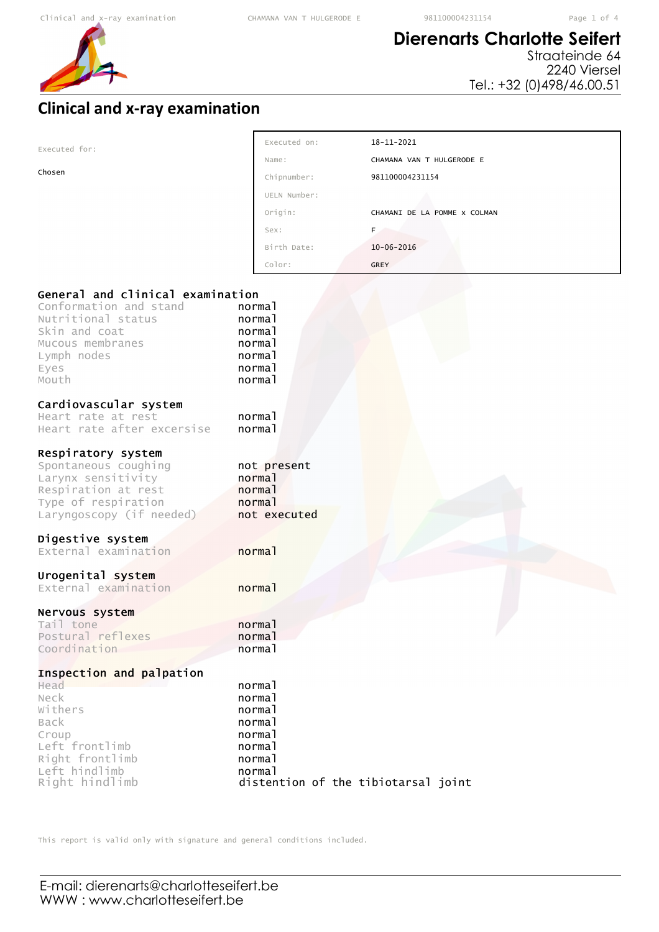# **Dierenarts Charlotte Seifert**

Straateinde 64 2240 Viersel Tel.: +32 (0)498/46.00.51

# **Clinical and x-ray examination**

| Executed for:                                                                                                                              | Executed on:                                              | $18 - 11 - 2021$             |
|--------------------------------------------------------------------------------------------------------------------------------------------|-----------------------------------------------------------|------------------------------|
|                                                                                                                                            | Name:                                                     | CHAMANA VAN T HULGERODE E    |
| Chosen                                                                                                                                     | Chipnumber:                                               | 981100004231154              |
|                                                                                                                                            | UELN Number:                                              |                              |
|                                                                                                                                            | Origin:                                                   | CHAMANI DE LA POMME X COLMAN |
|                                                                                                                                            | Sex:                                                      | F.                           |
|                                                                                                                                            | Birth Date:                                               | $10 - 06 - 2016$             |
|                                                                                                                                            | Color:                                                    | <b>GREY</b>                  |
| Nutritional status<br>Skin and coat<br>Mucous membranes<br>Lymph nodes<br>Eyes<br>Mouth                                                    | normal<br>normal<br>normal<br>normal<br>normal<br>normal  |                              |
| Cardiovascular system<br>Heart rate at rest<br>Heart rate after excersise                                                                  | normal<br>normal                                          |                              |
| Respiratory system<br>Spontaneous coughing<br>Larynx sensitivity<br>Respiration at rest<br>Type of respiration<br>Laryngoscopy (if needed) | not present<br>normal<br>normal<br>normal<br>not executed |                              |
| Digestive system<br>External examination                                                                                                   | normal                                                    |                              |

# Urogenital system

External examination **normal** 

## Nervous system

Tail tone normal Postural reflexes **normal**<br>Coordination **normal** Coordination

## Inspection and palpation

| Head            | normal                              |
|-----------------|-------------------------------------|
| Neck            | normal                              |
| Withers         | normal                              |
| Back            | normal                              |
| Croup           | normal                              |
| Left frontlimb  | normal                              |
| Right frontlimb | normal                              |
| Left hindlimb   | normal                              |
| Right hindlimb  | distention of the tibiotarsal joint |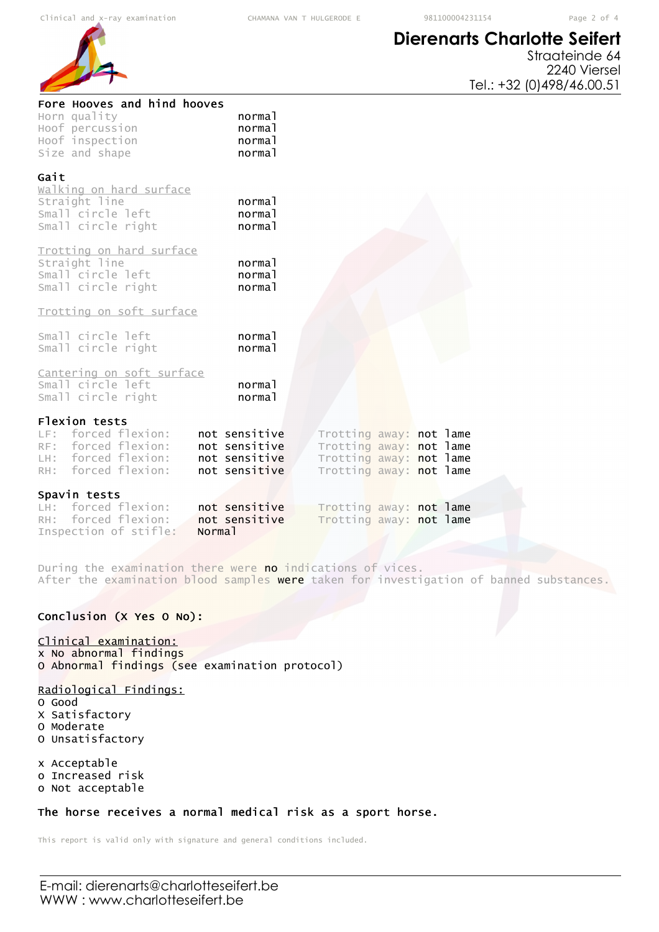

# **Dierenarts Charlotte Seifert**

Straateinde 64 2240 Viersel Tel.: +32 (0)498/46.00.51

| Fore Hooves and hind hooves<br>normal<br>normal<br>normal<br>normal |                                                                                                          |                         |
|---------------------------------------------------------------------|----------------------------------------------------------------------------------------------------------|-------------------------|
| normal<br>normal<br>normal                                          |                                                                                                          |                         |
| normal<br>normal<br>normal                                          |                                                                                                          |                         |
|                                                                     |                                                                                                          |                         |
| normal<br>normal                                                    |                                                                                                          |                         |
| normal<br>normal                                                    |                                                                                                          |                         |
| not sensitive<br>not sensitive<br>not sensitive<br>not sensitive    | Trotting away: not lame<br>Trotting away: not lame<br>Trotting away: not lame<br>Trotting away: not lame |                         |
|                                                                     |                                                                                                          |                         |
| not sensitive                                                       | Trotting away: not lame                                                                                  |                         |
|                                                                     | not sensitive<br>Norma <sub>1</sub>                                                                      | Trotting away: not lame |

During the examination there were no indications of vices. After the examination blood samples were taken for investigation of banned substances.

### Conclusion (X Yes O No):

#### Clinical examination:

x No abnormal findings O Abnormal findings (see examination protocol)

### Radiological Findings:

- O Good
- X Satisfactory O Moderate
- O Unsatisfactory

x Acceptable o Increased risk

o Not acceptable

### The horse receives a normal medical risk as a sport horse.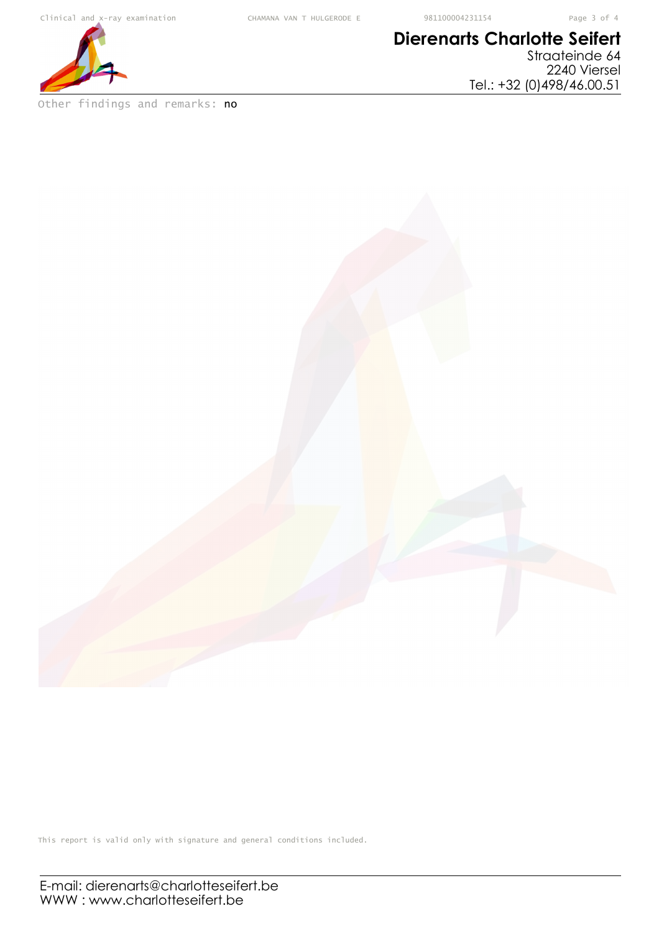

Other findings and remarks: no

# **Dierenarts Charlotte Seifert** Straateinde 64

2240 Viersel Tel.: +32 (0)498/46.00.51